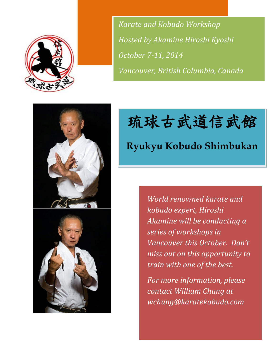

*Karate and Kobudo Workshop Hosted by Akamine Hiroshi Kyoshi October 7-11, 2014 Vancouver, British Columbia, Canada*





 $\overline{\phantom{a}}$ 

琉球古武道信武館

# **Ryukyu Kobudo Shimbukan**

*World renowned karate and kobudo expert, Hiroshi Akamine will be conducting a series of workshops in Vancouver this October. Don't miss out on this opportunity to train with one of the best.*

*For more information, please contact William Chung at wchung@karatekobudo.com*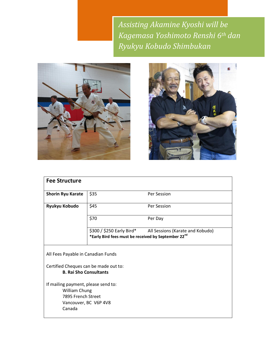*Assisting Akamine Kyoshi will be Kagemasa Yoshimoto Renshi 6th dan Ryukyu Kobudo Shimbukan*





| <b>Fee Structure</b>                                                                                                 |      |             |  |  |
|----------------------------------------------------------------------------------------------------------------------|------|-------------|--|--|
| <b>Shorin Ryu Karate</b>                                                                                             | \$35 | Per Session |  |  |
| Ryukyu Kobudo                                                                                                        | \$45 | Per Session |  |  |
|                                                                                                                      | \$70 | Per Day     |  |  |
| \$300 / \$250 Early Bird*<br>All Sessions (Karate and Kobudo)<br>*Early Bird fees must be received by September 22nd |      |             |  |  |
| All Fees Payable in Canadian Funds                                                                                   |      |             |  |  |
| Certified Cheques can be made out to:<br><b>B. Rai Sho Consultants</b>                                               |      |             |  |  |
| If mailing payment, please send to:<br>William Chung<br>7895 French Street<br>Vancouver, BC V6P 4V8<br>Canada        |      |             |  |  |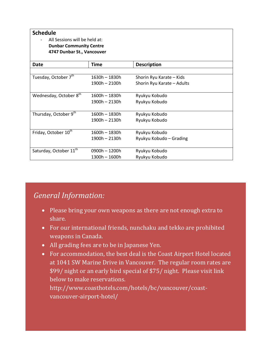| <b>Schedule</b><br>All Sessions will be held at:<br><b>Dunbar Community Centre</b><br>4747 Dunbar St., Vancouver |                 |                            |  |  |
|------------------------------------------------------------------------------------------------------------------|-----------------|----------------------------|--|--|
| Date                                                                                                             | Time            | <b>Description</b>         |  |  |
|                                                                                                                  |                 |                            |  |  |
| Tuesday, October 7 <sup>th</sup>                                                                                 | $1630h - 1830h$ | Shorin Ryu Karate - Kids   |  |  |
|                                                                                                                  | $1900h - 2100h$ | Shorin Ryu Karate - Adults |  |  |
|                                                                                                                  |                 |                            |  |  |
| Wednesday, October 8 <sup>th</sup>                                                                               | $1600h - 1830h$ | Ryukyu Kobudo              |  |  |
|                                                                                                                  | $1900h - 2130h$ | Ryukyu Kobudo              |  |  |
|                                                                                                                  |                 |                            |  |  |
| Thursday, October 9 <sup>th</sup>                                                                                | $1600h - 1830h$ | Ryukyu Kobudo              |  |  |
|                                                                                                                  | 1900h - 2130h   | Ryukyu Kobudo              |  |  |
|                                                                                                                  |                 |                            |  |  |
| Friday, October 10 <sup>th</sup>                                                                                 | 1600h - 1830h   | Ryukyu Kobudo              |  |  |
|                                                                                                                  | $1900h - 2130h$ | Ryukyu Kobudo - Grading    |  |  |
|                                                                                                                  |                 |                            |  |  |
| Saturday, October 11 <sup>th</sup>                                                                               | $0900h - 1200h$ | Ryukyu Kobudo              |  |  |
|                                                                                                                  | $1300h - 1600h$ | Ryukyu Kobudo              |  |  |

# *General Information:*

- Please bring your own weapons as there are not enough extra to share.
- For our international friends, nunchaku and tekko are prohibited weapons in Canada.
- All grading fees are to be in Japanese Yen.
- For accommodation, the best deal is the Coast Airport Hotel located at 1041 SW Marine Drive in Vancouver. The regular room rates are \$99/ night or an early bird special of \$75/ night. Please visit link below to make reservations.

http://www.coasthotels.com/hotels/bc/vancouver/coastvancouver-airport-hotel/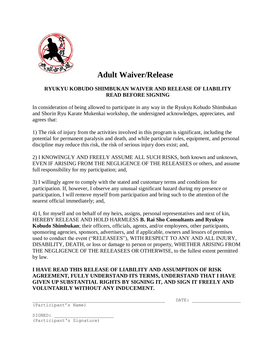

# **Adult Waiver/Release**

#### **RYUKYU KOBUDO SHIMBUKAN WAIVER AND RELEASE OF LIABILITY READ BEFORE SIGNING**

In consideration of being allowed to participate in any way in the Ryukyu Kobudo Shimbukan and Shorin Ryu Karate Mukenkai workshop, the undersigned acknowledges, appreciates, and agrees that:

1) The risk of injury from the activities involved in this program is significant, including the potential for permanent paralysis and death, and while particular rules, equipment, and personal discipline may reduce this risk, the risk of serious injury does exist; and,

2) I KNOWINGLY AND FREELY ASSUME ALL SUCH RISKS, both known and unknown, EVEN IF ARISING FROM THE NEGLIGENCE OF THE RELEASEES or others, and assume full responsibility for my participation; and,

3) I willingly agree to comply with the stated and customary terms and conditions for participation. If, however, I observe any unusual significant hazard during my presence or participation, I will remove myself from participation and bring such to the attention of the nearest official immediately; and,

4) I, for myself and on behalf of my heirs, assigns, personal representatives and next of kin, HEREBY RELEASE AND HOLD HARMLESS **B. Rai Sho Consultants and Ryukyu Kobudo Shimbukan**; their officers, officials, agents, and/or employees, other participants, sponsoring agencies, sponsors, advertisers, and if applicable, owners and lessors of premises used to conduct the event ("RELEASEES"), WITH RESPECT TO ANY AND ALL INJURY, DISABILITY, DEATH, or loss or damage to person or property, WHETHER ARISING FROM THE NEGLIGENCE OF THE RELEASEES OR OTHERWISE, to the fullest extent permitted by law.

#### **I HAVE READ THIS RELEASE OF LIABILITY AND ASSUMPTION OF RISK AGREEMENT, FULLY UNDERSTAND ITS TERMS, UNDERSTAND THAT I HAVE GIVEN UP SUBSTANTIAL RIGHTS BY SIGNING IT, AND SIGN IT FREELY AND VOLUNTARILY WITHOUT ANY INDUCEMENT.**

 $\mathtt{DATE:}$ 

(Participant's Name)

SIGNED: (Participant's Signature)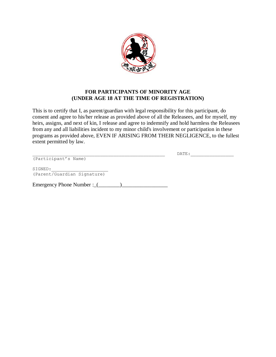

#### **FOR PARTICIPANTS OF MINORITY AGE (UNDER AGE 18 AT THE TIME OF REGISTRATION)**

This is to certify that I, as parent/guardian with legal responsibility for this participant, do consent and agree to his/her release as provided above of all the Releasees, and for myself, my heirs, assigns, and next of kin, I release and agree to indemnify and hold harmless the Releasees from any and all liabilities incident to my minor child's involvement or participation in these programs as provided above, EVEN IF ARISING FROM THEIR NEGLIGENCE, to the fullest extent permitted by law.

(Participant's Name)

 $\texttt{DATE:}\color{red}\underline{\hspace{2.5cm}}$ 

SIGNED: (Parent/Guardian Signature)

Emergency Phone Number :\_(\_\_\_\_\_\_\_\_)\_\_\_\_\_\_\_\_\_\_\_\_\_\_\_\_\_